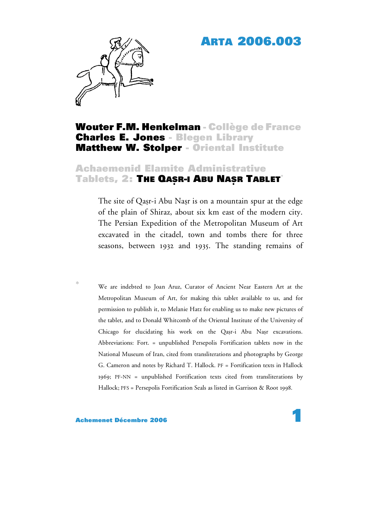# **ARTA 2006.003**



# **Wouter F.M. Henkelman - Collège de France Charles E. Jones - Blegen Library Matthew W. Stolper - Oriental Institute**

# **Achaemenid Elamite Administrative**  $T$ ablets, 2: The QASR-I ABU NASR TABLET<sup>\*</sup>

The site of Qasr-i Abu Nasr is on a mountain spur at the edge of the plain of Shiraz, about six km east of the modern city. The Persian Expedition of the Metropolitan Museum of Art excavated in the citadel, town and tombs there for three seasons, between 1932 and 1935. The standing remains of

We are indebted to Joan Aruz, Curator of Ancient Near Eastern Art at the Metropolitan Museum of Art, for making this tablet available to us, and for permission to publish it, to Melanie Hatz for enabling us to make new pictures of the tablet, and to Donald Whitcomb of the Oriental Institute of the University of Chicago for elucidating his work on the Qasr-i Abu Nasr excavations. Abbreviations: Fort. = unpublished Persepolis Fortification tablets now in the National Museum of Iran, cited from transliterations and photographs by George G. Cameron and notes by Richard T. Hallock. PF = Fortification texts in Hallock 1969; PF-NN = unpublished Fortification texts cited from transliterations by Hallock; PFS = Persepolis Fortification Seals as listed in Garrison & Root 1998.

#### **Achemenet Décembre 2006**

\*

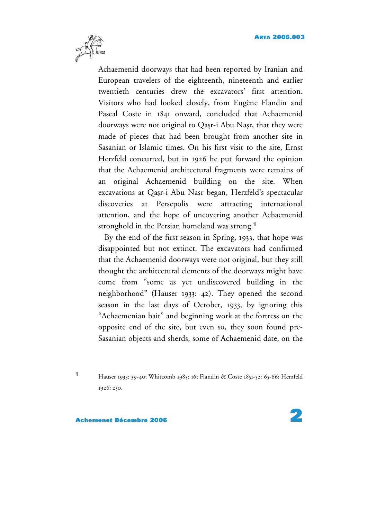

Achaemenid doorways that had been reported by Iranian and European travelers of the eighteenth, nineteenth and earlier twentieth centuries drew the excavators' first attention. Visitors who had looked closely, from Eugène Flandin and Pascal Coste in 1841 onward, concluded that Achaemenid doorways were not original to Qasr-i Abu Nasr, that they were made of pieces that had been brought from another site in Sasanian or Islamic times. On his first visit to the site, Ernst Herzfeld concurred, but in 1926 he put forward the opinion that the Achaemenid architectural fragments were remains of an original Achaemenid building on the site. When excavations at Qasr-i Abu Nasr began, Herzfeld's spectacular discoveries at Persepolis were attracting international attention, and the hope of uncovering another Achaemenid stronghold in the Persian homeland was strong. **1**

By the end of the first season in Spring, 1933, that hope was disappointed but not extinct. The excavators had confirmed that the Achaemenid doorways were not original, but they still thought the architectural elements of the doorways might have come from "some as yet undiscovered building in the neighborhood" (Hauser 1933: 42). They opened the second season in the last days of October, 1933, by ignoring this "Achaemenian bait" and beginning work at the fortress on the opposite end of the site, but even so, they soon found pre-Sasanian objects and sherds, some of Achaemenid date, on the

**<sup>1</sup>** Hauser 1933: 39-40; Whitcomb 1985: 16; Flandin & Coste 1851-52: 65-66; Herzfeld 1926: 250.

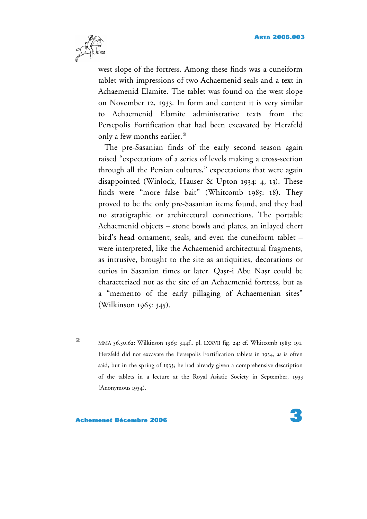

west slope of the fortress. Among these finds was a cuneiform tablet with impressions of two Achaemenid seals and a text in Achaemenid Elamite. The tablet was found on the west slope on November 12, 1933. In form and content it is very similar to Achaemenid Elamite administrative texts from the Persepolis Fortification that had been excavated by Herzfeld only a few months earlier. **2**

The pre-Sasanian finds of the early second season again raised "expectations of a series of levels making a cross-section through all the Persian cultures," expectations that were again disappointed (Winlock, Hauser & Upton 1934: 4, 13). These finds were "more false bait" (Whitcomb 1985: 18). They proved to be the only pre-Sasanian items found, and they had no stratigraphic or architectural connections. The portable Achaemenid objects – stone bowls and plates, an inlayed chert bird's head ornament, seals, and even the cuneiform tablet – were interpreted, like the Achaemenid architectural fragments, as intrusive, brought to the site as antiquities, decorations or curios in Sasanian times or later. Qasr-i Abu Nasr could be characterized not as the site of an Achaemenid fortress, but as a "memento of the early pillaging of Achaemenian sites" (Wilkinson 1965: 345).

**<sup>2</sup>** MMA 36.30.62: Wilkinson 1965: 344f., pl. LXXVII fig. 24; cf. Whitcomb 1985: 191. Herzfeld did not excavate the Persepolis Fortification tablets in 1934, as is often said, but in the spring of 1933; he had already given a comprehensive description of the tablets in a lecture at the Royal Asiatic Society in September, 1933 (Anonymous 1934).

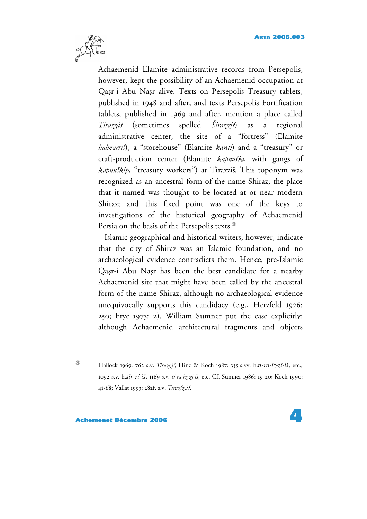

Achaemenid Elamite administrative records from Persepolis, however, kept the possibility of an Achaemenid occupation at Qasr-i Abu Nasr alive. Texts on Persepolis Treasury tablets, published in 1948 and after, and texts Persepolis Fortification tablets, published in 1969 and after, mention a place called *Tirazziš* (sometimes spelled *Širazziš*) as a regional administrative center, the site of a "fortress" (Elamite *halmarriš*), a "storehouse" (Elamite *kanti*) and a "treasury" or craft-production center (Elamite *kapnuški*, with gangs of *kapnuškip*, "treasury workers") at Tirazziš. This toponym was recognized as an ancestral form of the name Shiraz; the place that it named was thought to be located at or near modern Shiraz; and this fixed point was one of the keys to investigations of the historical geography of Achaemenid Persia on the basis of the Persepolis texts. **3**

Islamic geographical and historical writers, however, indicate that the city of Shiraz was an Islamic foundation, and no archaeological evidence contradicts them. Hence, pre-Islamic Qasr-i Abu Nasr has been the best candidate for a nearby Achaemenid site that might have been called by the ancestral form of the name Shiraz, although no archaeological evidence unequivocally supports this candidacy (e.g., Herzfeld 1926: 250; Frye 1973: 2). William Sumner put the case explicitly: although Achaemenid architectural fragments and objects

**<sup>3</sup>** Hallock 1969: <sup>762</sup> s.v. *Tirazziš*; Hinz & Koch 1987: <sup>335</sup> s.vv. h.*ti-ra-iz-zí-iš*, etc., 1092 s.v. h.*sir-zí-iš*, 1169 s.v. *ši-ra-iz-zí-iš*, etc. Cf. Sumner 1986: 19-20; Koch 1990: 41-68; Vallat 1993: 282f. s.v. *Tiraz(z)iš*.

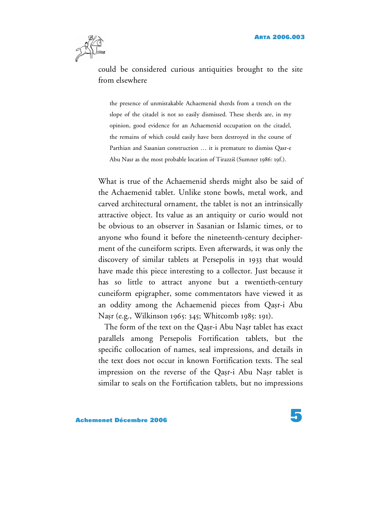

could be considered curious antiquities brought to the site from elsewhere

the presence of unmistakable Achaemenid sherds from a trench on the slope of the citadel is not so easily dismissed. These sherds are, in my opinion, good evidence for an Achaemenid occupation on the citadel, the remains of which could easily have been destroyed in the course of Parthian and Sasanian construction … it is premature to dismiss Qasr-e Abu Nasr as the most probable location of Tirazziš (Sumner 1986: 19f.).

What is true of the Achaemenid sherds might also be said of the Achaemenid tablet. Unlike stone bowls, metal work, and carved architectural ornament, the tablet is not an intrinsically attractive object. Its value as an antiquity or curio would not be obvious to an observer in Sasanian or Islamic times, or to anyone who found it before the nineteenth-century decipherment of the cuneiform scripts. Even afterwards, it was only the discovery of similar tablets at Persepolis in 1933 that would have made this piece interesting to a collector. Just because it has so little to attract anyone but a twentieth-century cuneiform epigrapher, some commentators have viewed it as an oddity among the Achaemenid pieces from Qasr-i Abu Napr (e.g., Wilkinson 1965: 345; Whitcomb 1985: 191).

The form of the text on the Qasr-i Abu Nasr tablet has exact parallels among Persepolis Fortification tablets, but the specific collocation of names, seal impressions, and details in the text does not occur in known Fortification texts. The seal impression on the reverse of the Qasr-i Abu Nasr tablet is similar to seals on the Fortification tablets, but no impressions

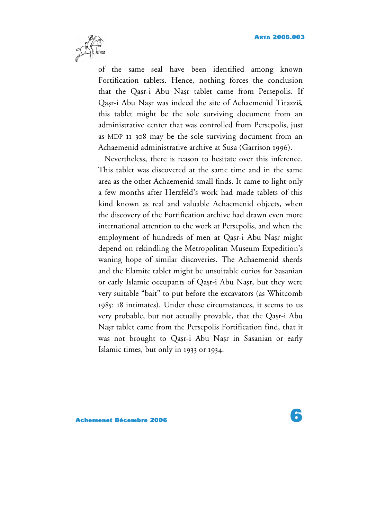

of the same seal have been identified among known Fortification tablets. Hence, nothing forces the conclusion that the Qasr-i Abu Nasr tablet came from Persepolis. If Qasr-i Abu Nasr was indeed the site of Achaemenid Tirazziš, this tablet might be the sole surviving document from an administrative center that was controlled from Persepolis, just as MDP 11 308 may be the sole surviving document from an Achaemenid administrative archive at Susa (Garrison 1996).

Nevertheless, there is reason to hesitate over this inference. This tablet was discovered at the same time and in the same area as the other Achaemenid small finds. It came to light only a few months after Herzfeld's work had made tablets of this kind known as real and valuable Achaemenid objects, when the discovery of the Fortification archive had drawn even more international attention to the work at Persepolis, and when the employment of hundreds of men at Qasr-i Abu Nasr might depend on rekindling the Metropolitan Museum Expedition's waning hope of similar discoveries. The Achaemenid sherds and the Elamite tablet might be unsuitable curios for Sasanian or early Islamic occupants of Qasr-i Abu Nasr, but they were very suitable "bait" to put before the excavators (as Whitcomb 1985: 18 intimates). Under these circumstances, it seems to us very probable, but not actually provable, that the Qasr-i Abu Napr tablet came from the Persepolis Fortification find, that it was not brought to Qasr-i Abu Nasr in Sasanian or early Islamic times, but only in 1933 or 1934.

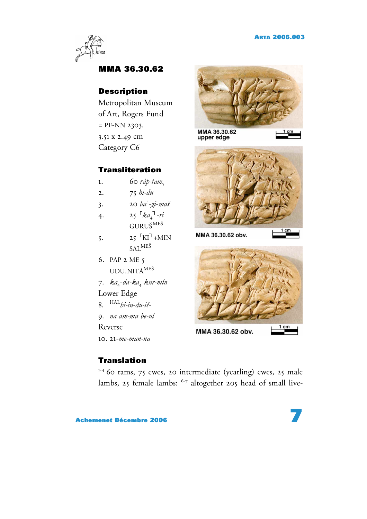

### **MMA 36.30.62**

#### **Description**

Metropolitan Museum of Art, Rogers Fund  $=$  PF-NN 2303. 3.51 x 2.49 cm Category C6

#### **Transliteration**

- 1. 60  $r$ *áp-tam*<sub>5</sub>
- 2. 75 *hi-du*
- 3. 20 *ba* ! -*gi*-*maš*
- $4.$  25  $\sqrt{4}a_4^T n$  $\rm GURU\v S^{ME\v S}$
- $5.$  25  $\sqrt{\text{K1}}$ +MIN SAL<sup>MEŠ</sup>
- 6. PAP 2 ME 5 UDU.NITÁ<sup>MEŠ</sup>
- 7. *ka*4-*da-ka*<sup>4</sup> *kur-mín*
- Lower Edge
- 8. HAL *hi-in-du-iš*-
- 9. *na am-ma be-ul*

Reverse

10. 21-*me-man-na*

### **Translation**

1-4 60 rams, 75 ewes, 20 intermediate (yearling) ewes, 25 male lambs, 25 female lambs:  $6-7$  altogether 205 head of small live-





MMA 36.30.62 obv.



MMA 36.30.62 obv.

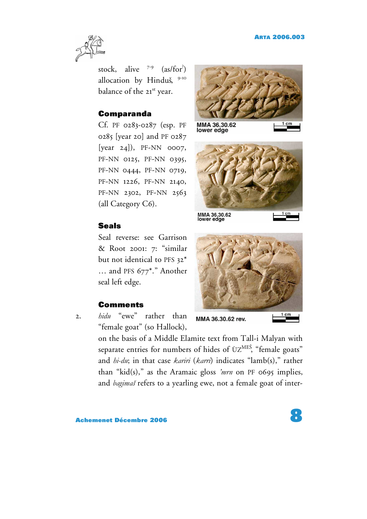

stock, alive <sup>7-9</sup> (as/for<sup>?</sup>) allocation by Hinduš, 9-10 balance of the 21st year.

#### **Comparanda**

Cf. PF 0283-0287 (esp. PF 0285 [year 20] and PF 0287  $[year 24]$ , PF-NN 0007, PF-NN 0125, PF-NN 0395, PF-NN 0444, PF-NN 0719, PF-NN 1226, PF-NN 2140, PF-NN 2302, PF-NN 2563 (all Category C6).

#### **Seals**

Seal reverse: see Garrison & Root 2001: 7: "similar but not identical to PFS 32\* … and PFS 677\*." Another seal left edge.

#### **Comments**

2. *hidu* "ewe" rather than "female goat" (so Hallock),

MMA 36.30.62<br>lower edge

MMA 36.30.62<br>lower edge



MMA 36.30.62 rev.

on the basis of a Middle Elamite text from Tall-i Malyan with separate entries for numbers of hides of ÙZ $^{\rm{MES}}$ , "female goats" and *hi-du*; in that case *kariri* (*karri*) indicates "lamb(s)," rather than "kid(s)," as the Aramaic gloss *'mrn* on PF 0695 implies, and *bagimaš* refers to a yearling ewe, not a female goat of inter-

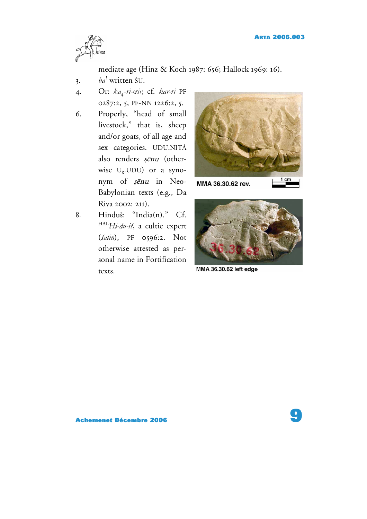

mediate age (Hinz & Koch 1987: 656; Hallock 1969: 16).

- 3. *ba* ! written ŠU.
- 4. Or:  $ka_4$ -ri- $\langle r \rangle$ ; cf. *kar-ri* PF 0287:2, 5, PF-NN 1226:2, 5.
- 6. Properly, "head of small livestock," that is, sheep and/or goats, of all age and sex categories. UDU.NITÁ also renders șenu (otherwise  $U_8$ . UDU) or a synonym of șenu in Neo-Babylonian texts (e.g., Da Riva 2002: 211).
- 8. Hinduš: "India(n)." Cf. HAL *Hi-du-iš*, a cultic expert (*šatin*), PF 0596:2. Not otherwise attested as personal name in Fortification texts.



MMA 36.30.62 rev.



MMA 36.30.62 left edge

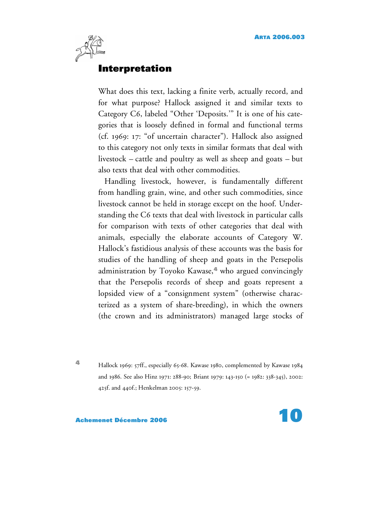

## **Interpretation**

What does this text, lacking a finite verb, actually record, and for what purpose? Hallock assigned it and similar texts to Category C6, labeled "Other 'Deposits.'" It is one of his categories that is loosely defined in formal and functional terms (cf. 1969: 17: "of uncertain character"). Hallock also assigned to this category not only texts in similar formats that deal with livestock – cattle and poultry as well as sheep and goats – but also texts that deal with other commodities.

Handling livestock, however, is fundamentally different from handling grain, wine, and other such commodities, since livestock cannot be held in storage except on the hoof. Understanding the C6 texts that deal with livestock in particular calls for comparison with texts of other categories that deal with animals, especially the elaborate accounts of Category W. Hallock's fastidious analysis of these accounts was the basis for studies of the handling of sheep and goats in the Persepolis administration by Toyoko Kawase, **<sup>4</sup>** who argued convincingly that the Persepolis records of sheep and goats represent a lopsided view of a "consignment system" (otherwise characterized as a system of share-breeding), in which the owners (the crown and its administrators) managed large stocks of

**<sup>4</sup>** Hallock 1969: 57ff., especially 65-68. Kawase 1980, complemented by Kawase <sup>1984</sup> and 1986. See also Hinz 1971: 288-90;
Briant 1979: 143-150 (= 1982: 338-345), 2002: 425f. and 440f.; Henkelman 2005: 157-59.

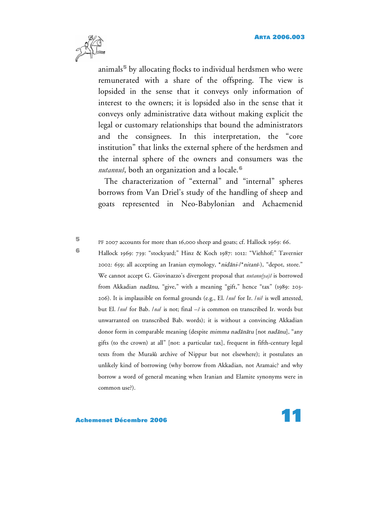

animals**<sup>5</sup>** by allocating flocks to individual herdsmen who were remunerated with a share of the offspring. The view is lopsided in the sense that it conveys only information of interest to the owners; it is lopsided also in the sense that it conveys only administrative data without making explicit the legal or customary relationships that bound the administrators and the consignees. In this interpretation, the "core institution" that links the external sphere of the herdsmen and the internal sphere of the owners and consumers was the *nutannuš*, both an organization and a locale. **6**

The characterization of "external" and "internal" spheres borrows from Van Driel's study of the handling of sheep and goats represented in Neo-Babylonian and Achaemenid

**<sup>5</sup>** PF <sup>2007</sup> accounts for more than 16,000 sheep and goats; cf. Hallock 1969: 66.

**<sup>6</sup>** Hallock 1969: 739: "stockyard;" Hinz & Koch 1987: 1012: "Viehhof;" Tavernier 2002: 659; all accepting an Iranian etymology, \*nidani-/\*nitani-), "depot, store." We cannot accept G. Giovinazzo's divergent proposal that *nutanu(ya)š* is borrowed from Akkadian nadānu, "give," with a meaning "gift," hence "tax" (1989: 203-206). It is implausible on formal grounds (e.g., El. /*nu*/ for Ir. /*ni*/ is well attested, but El. /*nu*/ for Bab. /*na*/ is not; final –*š* is common on transcribed Ir. words but unwarranted on transcribed Bab. words); it is without a convincing Akkadian donor form in comparable meaning (despite mimma nadānātu [not nadānu], "any gifts (to the crown) at all" [not: a particular tax], frequent in fifth-century legal texts from the Murašû archive of Nippur but not elsewhere); it postulates an unlikely kind of borrowing (why borrow from Akkadian, not Aramaic? and why borrow a word of general meaning when Iranian and Elamite synonyms were in common use?).

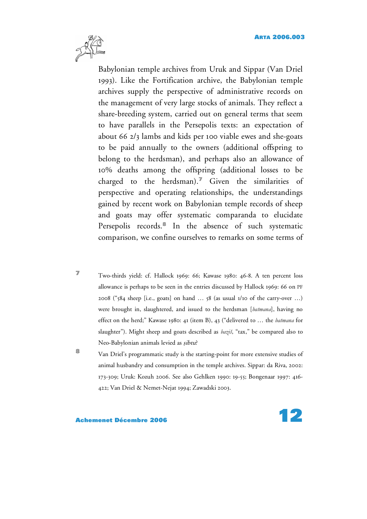

Babylonian temple archives from Uruk and Sippar (Van Driel 1993). Like the Fortification archive, the Babylonian temple archives supply the perspective of administrative records on the management of very large stocks of animals. They reflect a share-breeding system, carried out on general terms that seem to have parallels in the Persepolis texts: an expectation of about 66 2/3 lambs and kids per 100 viable ewes and she-goats to be paid annually to the owners (additional offspring to belong to the herdsman), and perhaps also an allowance of 10% deaths among the offspring (additional losses to be charged to the herdsman). **<sup>7</sup>** Given the similarities of perspective and operating relationships, the understandings gained by recent work on Babylonian temple records of sheep and goats may offer systematic comparanda to elucidate Persepolis records. **<sup>8</sup>** In the absence of such systematic comparison, we confine ourselves to remarks on some terms of

**<sup>7</sup>** Two-thirds yield: cf. Hallock 1969: 66; Kawase 1980: 46-8. <sup>A</sup> ten percent loss allowance is perhaps to be seen in the entries discussed by Hallock 1969: 66 on PF 2008 ("584 sheep [i.e., goats] on hand … 58 (as usual 1/10 of the carry-over …) were brought in, slaughtered, and issued to the herdsman [*batmana*], having no effect on the herd;" Kawase 1980: 41 (item B), 43 ("delivered to … the *batmana* for slaughter"). Might sheep and goats described as *baziš*, "tax," be compared also to Neo-Babylonian animals levied as sibtu?

**<sup>8</sup>** Van Driel's programmatic study is the starting-point for more extensive studies of animal husbandry and consumption in the temple archives. Sippar: da Riva, 2002: 173-309; Uruk: Kozuh 2006. See also Gehlken 1990: 19-55; Bongenaar 1997: 416- 422; Van Driel & Nemet-Nejat 1994; Zawadski 2003.

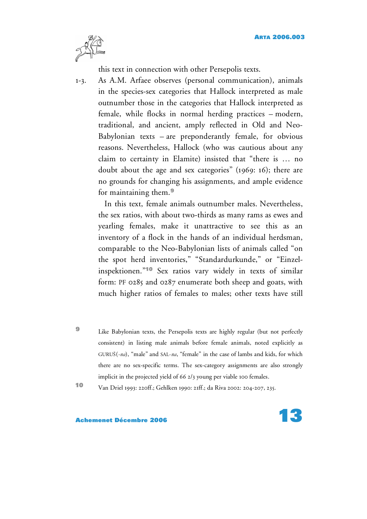

this text in connection with other Persepolis texts.

1-3. As A.M. Arfaee observes (personal communication), animals in the species-sex categories that Hallock interpreted as male outnumber those in the categories that Hallock interpreted as female, while flocks in normal herding practices – modern, traditional, and ancient, amply reflected in Old and Neo-Babylonian texts – are preponderantly female, for obvious reasons. Nevertheless, Hallock (who was cautious about any claim to certainty in Elamite) insisted that "there is … no doubt about the age and sex categories" (1969: 16); there are no grounds for changing his assignments, and ample evidence for maintaining them. **9**

In this text, female animals outnumber males. Nevertheless, the sex ratios, with about two-thirds as many rams as ewes and yearling females, make it unattractive to see this as an inventory of a flock in the hands of an individual herdsman, comparable to the Neo-Babylonian lists of animals called "on the spot herd inventories," "Standardurkunde," or "Einzelinspektionen."**<sup>10</sup>** Sex ratios vary widely in texts of similar form: PF 0285 and 0287 enumerate both sheep and goats, with much higher ratios of females to males; other texts have still

**<sup>9</sup>** Like Babylonian texts, the Persepolis texts are highly regular (but not perfectly consistent) in listing male animals before female animals, noted explicitly as GURUŠ(-na), "male" and SAL-na, "female" in the case of lambs and kids, for which there are no sex-specific terms. The sex-category assignments are also strongly implicit in the projected yield of 66 2/3 young per viable 100 females.

**<sup>10</sup>** Van Driel 1993: 220ff.; Gehlken 1990: 21ff.; da Riva 2002: 204-207, 235.

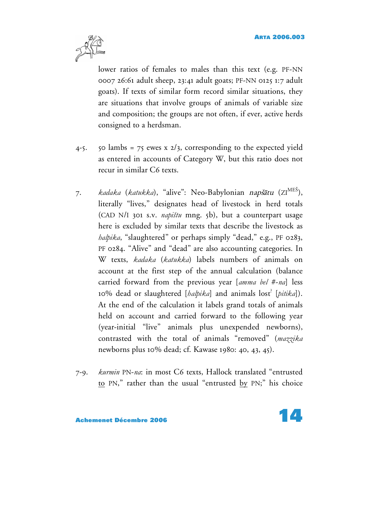

lower ratios of females to males than this text (e.g. PF-NN 0007 26:61 adult sheep, 23:41 adult goats; PF-NN 0125 1:7 adult goats). If texts of similar form record similar situations, they are situations that involve groups of animals of variable size and composition; the groups are not often, if ever, active herds consigned to a herdsman.

- 4-5. 50 lambs = 75 ewes x  $2/3$ , corresponding to the expected yield as entered in accounts of Category W, but this ratio does not recur in similar C6 texts.
- 7. *kadaka (katukka*), "alive": Neo-Babylonian *napš*ātu (ZI<sup>MES</sup>), literally "lives," designates head of livestock in herd totals (CAD N/I 301 s.v. *napištu* mng. 5b), but a counterpart usage here is excluded by similar texts that describe the livestock as *halpika*, "slaughtered" or perhaps simply "dead," e.g., PF 0283, PF 0284. "Alive" and "dead" are also accounting categories. In W texts, *kadaka* (*katukka*) labels numbers of animals on account at the first step of the annual calculation (balance carried forward from the previous year [*amma bel* #-*na*] less 10% dead or slaughtered [*halpika*] and animals lost ? [*pitika*]). At the end of the calculation it labels grand totals of animals held on account and carried forward to the following year (year-initial "live" animals plus unexpended newborns), contrasted with the total of animals "removed" (*mazzika* newborns plus 10% dead; cf. Kawase 1980: 40, 43, 45).
- 7-9. *kurmin* PN-*na*: in most C6 texts, Hallock translated "entrusted to PN," rather than the usual "entrusted by PN;" his choice

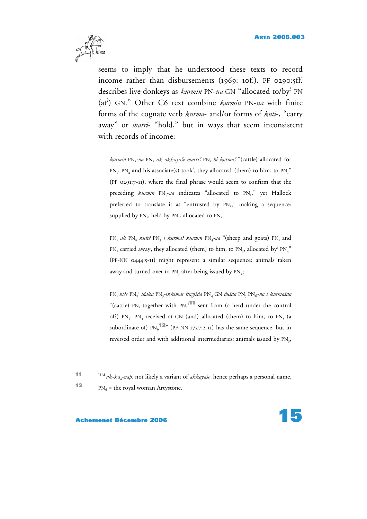

seems to imply that he understood these texts to record income rather than disbursements (1969: 10f.). PF 0290:5ff. describes live donkeys as *kurmin* PN-*na* GN "allocated to/by? PN (at ? ) GN." Other C6 text combine *kurmin* PN-*na* with finite forms of the cognate verb *kurma*- and/or forms of *kuti*-, "carry away" or *marri*- "hold," but in ways that seem inconsistent with records of income:

*kurmin* PN1-*na* PN2 *ak akkayaše marriš* PN1 *hi kurmaš* "(cattle) allocated for  $PN_1$ ,  $PN_2$  and his associate(s) took<sup>?</sup>, they allocated (them) to him, to  $PN_1$ " (PF 0291:7-11), where the final phrase would seem to confirm that the preceding *kurmin* PN<sub>1</sub>-na indicates "allocated to PN<sub>1</sub>," yet Hallock preferred to translate it as "entrusted by PN,," making a sequence: supplied by  $PN_1$ , held by  $PN_2$ , allocated to  $PN_1$ ;

PN<sub>1</sub> ak PN<sub>2</sub> kutiš PN<sub>3</sub> *i* kurmaš kurmin PN<sub>4</sub>-na "(sheep and goats) PN<sub>1</sub> and PN, carried away, they allocated (them) to him, to PN<sub>2</sub>, allocated by<sup>2</sup> PN<sub>4</sub>" (PF-NN 0444:5-11) might represent a similar sequence: animals taken away and turned over to PN<sub>3</sub> after being issued by PN<sub>4</sub>;

PN1 *hiše* PN2 ? *idaka* PN3*-ikkimar tingišda* PN4 GN *dušda* PN5 PN6-*na i kurmašda* "(cattle)  $PN_1$  together with  $PN_2$ <sup>211</sup> sent from (a herd under the control of?) PN<sub>3</sub>, PN<sub>4</sub> received at GN (and) allocated (them) to him, to PN<sub>5</sub> (a subordinate of)  $\text{PN}_6$ <sup>12</sup>" (PF-NN 1727:2-11) has the same sequence, but in reversed order and with additional intermediaries: animals issued by PN<sub>3</sub>,

**11** HAL *ak*-*ka*4-*nap*, not likely a variant of *akkayaše*, hence perhaps a personal name. **12**  $PN_6$  = the royal woman Artystone.

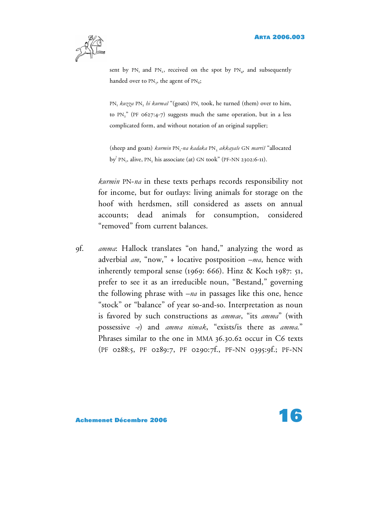

sent by  $PN_1$  and  $PN_2$ , received on the spot by  $PN_4$ , and subsequently handed over to  $PN_s$ , the agent of  $PN_6$ ;

PN<sub>1</sub> *kuzza* PN<sub>2</sub> *hi kurmaš* "(goats) PN<sub>1</sub> took, he turned (them) over to him, to  $PN_2$ " (PF 0627:4-7) suggests much the same operation, but in a less complicated form, and without notation of an original supplier;

(sheep and goats) *kurmin* PN<sub>1</sub>-na *kadaka* PN, akkayaše GN marriš "allocated by<sup>2</sup> PN<sub>1</sub>, alive, PN<sub>2</sub> his associate (at) GN took" (PF-NN 2302:6-11).

*kurmin* PN-*na* in these texts perhaps records responsibility not for income, but for outlays: living animals for storage on the hoof with herdsmen, still considered as assets on annual accounts; dead animals for consumption, considered "removed" from current balances.

9f. *amma*: Hallock translates "on hand," analyzing the word as adverbial *am*, "now," + locative postposition –*ma*, hence with inherently temporal sense (1969: 666). Hinz & Koch 1987: 51, prefer to see it as an irreducible noun, "Bestand," governing the following phrase with –*na* in passages like this one, hence "stock" or "balance" of year so-and-so. Interpretation as noun is favored by such constructions as *ammae*, "its *amma*" (with possessive *-e*) and *amma nimak*, "exists/is there as *amma.*" Phrases similar to the one in MMA 36.30.62 occur in C6 texts (PF 0288:5, PF 0289:7, PF 0290:7f., PF-NN 0395:9f.; PF-NN

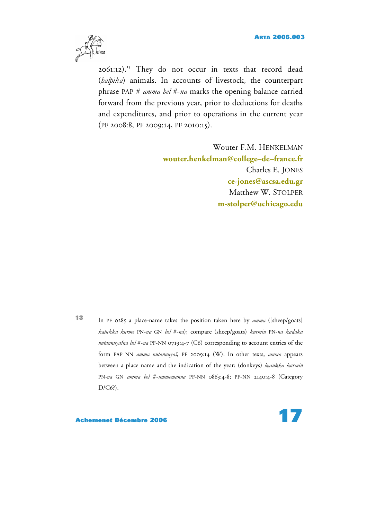

2061:12). <sup>13</sup> They do not occur in texts that record dead (*halpika*) animals. In accounts of livestock, the counterpart phrase PAP # *amma bel* #-*na* marks the opening balance carried forward from the previous year, prior to deductions for deaths and expenditures, and prior to operations in the current year (PF 2008:8, PF 2009:14, PF 2010:15).

> Wouter F.M. HENKELMAN **[wouter.henkelman@college–de–france.fr](mailto:wouter.henkelman@college-de-france.fr)** Charles E. JONES **[ce-jones@ascsa.edu.gr](mailto:ce-jones@ascsa.edu.gr)** Matthew W. STOLPER **[m-stolper@uchicago.edu](mailto:m-stolper@uchicago.edu)**

**<sup>13</sup>** In PF <sup>0285</sup> <sup>a</sup> place-name takes the position taken here by *amma* ([sheep/goats] *katukka kurme* PN-*na* GN *bel* #-*na*); compare (sheep/goats) *kurmin* PN-*na kadaka nutannuyašna bel* #-*na* PF-NN 0719:4-7 (C6) corresponding to account entries of the form PAP NN *amma nutannuyaš*, PF 2009:14 (W). In other texts, *amma* appears between a place name and the indication of the year: (donkeys) *katukka kurmin* PN*-na* GN *amma bel* #-*ummemanna* PF-NN 0863:4-8; PF-NN 2140:4-8 (Category D/C6?).

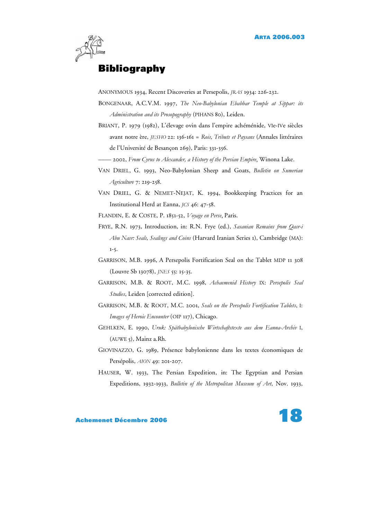

# **Bibliography**

ANONYMOUS 1934, Recent Discoveries at Persepolis, *JRAS* 1934: 226-232.

- BONGENAAR, A.C.V.M. 1997, *The Neo-Babylonian Ebabbar Temple at Sippar: its Administration and its Prosopography* (PIHANS 80), Leiden.
- BRIANT, P. 1979 (1982), L'élevage ovin dans l'empire achéménide, VIe-IVe siècles avant notre ère, *JESHO* 22: 136-161 = *Rois, Tributs et Paysans* (Annales littéraires de l'Université de Besançon 269), Paris: 331-356.
- –––– 2002, *From Cyrus to Alexander, a History of the Persian Empire*, Winona Lake.
- VAN DRIEL, G. 1993, Neo-Babylonian Sheep and Goats, *Bulletin on Sumerian Agriculture* 7: 219-258.
- VAN DRIEL, G. & NEMET-NEJAT, K. 1994, Bookkeeping Practices for an Institutional Herd at Eanna, *JCS* 46: 47-58.
- FLANDIN, E. & COSTE, P. 1851-52, *Voyage en Perse*, Paris.
- FRYE, R.N. 1973, Introduction, in: R.N. Frye (ed.), *Sasanian Remains from Qasr-i Abu Nasr: Seals, Sealings and Coins* (Harvard Iranian Series 1), Cambridge (MA): 1-5.
- GARRISON, M.B. 1996, A Persepolis Fortification Seal on the Tablet MDP 11 308 (Louvre Sb 13078), *JNES* 55: 15-35.
- GARRISON, M.B. & ROOT, M.C. 1998, *Achaemenid History* IX: *Persepolis Seal Studies*, Leiden [corrected edition].
- GARRISON, M.B. & ROOT, M.C. 2001, *Seals on the Persepolis Fortification Tablets*, I: *Images of Heroic Encounter* (OIP 117), Chicago.
- GEHLKEN, E. 1990, *Uruk: Spätbabylonische Wirtschaftstexte aus dem Eanna-Archiv* I, (AUWE 5), Mainz a.Rh.
- GIOVINAZZO, G. 1989, Présence babylonienne dans les textes économiques de Persépolis, *AION* 49: 201-207.
- HAUSER, W. 1933, The Persian Expedition, in: The Egyptian and Persian Expeditions, 1932-1933, *Bulletin of the Metropolitan Museum of Art*, Nov. 1933,

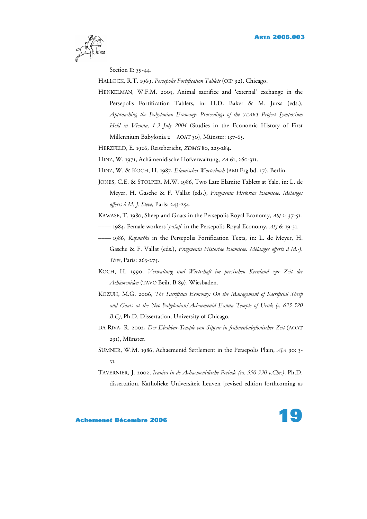

Section II: 39-44.

HALLOCK, R.T. 1969, *Persepolis Fortification Tablets* (OIP 92), Chicago.

HENKELMAN, W.F.M. 2005, Animal sacrifice and 'external' exchange in the Persepolis Fortification Tablets, in: H.D. Baker & M. Jursa (eds.), *Approaching the Babylonian Economy: Proceedings of the START Project Symposium Held in Vienna, 1-3 July 2004* (Studies in the Economic History of First Millennium Babylonia 2 = AOAT 30), Münster: 137-65.

HERZFELD, E. 1926, Reisebericht, ZDMG 80, 225-284.

HINZ, W. 1971, Achämenidische Hofverwaltung, ZA 61, 260-311.

HINZ, W. & KOCH, H. 1987, *Elamisches Wörterbuch* (AMI Erg.bd. 17), Berlin.

- JONES, C.E. & STOLPER, M.W. 1986, Two Late Elamite Tablets at Yale, in: L. de Meyer, H. Gasche & F. Vallat (eds.), *Fragmenta Historiae Elamicae. Mélanges offerts à M.-J. Steve*, Paris: 243-254.
- KAWASE, T. 1980, Sheep and Goats in the Persepolis Royal Economy, ASJ 2: 37-51.
- –––– 1984, Female workers '*pašap*' in the Persepolis Royal Economy, *ASJ* 6: 19-31.
- –––– 1986, *Kapnuški* in the Persepolis Fortification Texts, in: L. de Meyer, H. Gasche & F. Vallat (eds.), *Fragmenta Historiae Elamicae. Mélanges offerts à M.-J. Steve*, Paris: 263-275.
- KOCH, H. 1990, *Verwaltung und Wirtschaft im persischen Kernland zur Zeit der Achämeniden* (TAVO Beih. B 89), Wiesbaden.
- KOZUH, M.G. 2006, *The Sacrificial Economy: On the Management of Sacrificial Sheep and Goats at the Neo-Babylonian/Achaemenid Eanna Temple of Uruk (c. 625-520 B.C)*, Ph.D. Dissertation, University of Chicago.
- DA RIVA, R. 2002, *Der Ebabbar-Temple von Sippar in frühneubabylonischer Zeit* (AOAT 291), Münster.
- SUMNER, W.M. 1986, Achaemenid Settlement in the Persepolis Plain, *AJA* 90: 3- 31.
- TAVERNIER, J. 2002, *Iranica in de Achaemenidische Periode (ca. 550-330 v.Chr.)*, Ph.D. dissertation, Katholieke Universiteit Leuven [revised edition forthcoming as